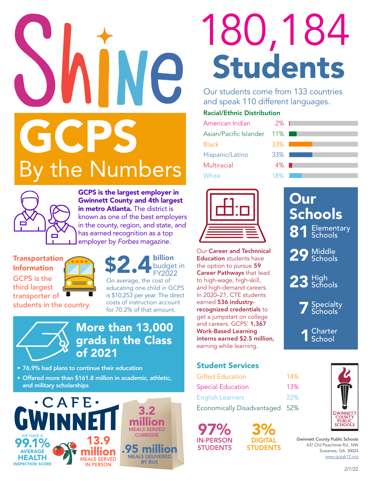# MNE GCPS y the Numbers



GCPS is the largest employer in Gwinnett County and 4th largest in metro Atlanta. The district is known as one of the best employers in the county, region, and state, and has earned recognition as a top employer by *Forbes* magazine.

#### **Transportation Information**

GCPS is the third largest transporter of

students in the country.



educating one child in GCPS is \$10,253 per year. The direct costs of instruction account for 70.2% of that amount.

billion budget in FY2022



#### More than 13,000 grads in the Class of 2021

- 76.9% had plans to continue their education
- Offered more than \$161.8 million in academic, athletic, and military scholarships



# 180,184 Students

Our students come from 133 countries and speak 110 different languages.

#### Racial/Ethnic Distribution

| American Indian        | $.2\%$ |  |
|------------------------|--------|--|
| Asian/Pacific Islander | $11\%$ |  |
| <b>Black</b>           | 33%    |  |
| Hispanic/Latino        | 33%    |  |
| Multiracial            | 4%     |  |
| White                  | 18%    |  |
|                        |        |  |



Our Career and Technnical **Education** students have the option to pursue 59 **Career Pathways that lead** to high-wage, high-skill, and high-demand careers. In 2020–21, CTE students earned 536 industryrecognized credentials to get a jumpstart on college and careers. GCPS' 1,367 Work-Based Learning interns earned \$2.5 million, earning while learning.

#### Student Services

| Gifted Education               | 14% |
|--------------------------------|-----|
| <b>Special Education</b>       | 13% |
| <b>English Learners</b>        | 22% |
| Economically Disadvantaged 52% |     |

3% DIGITAL **STUDENTS** 

97% IN-PERSON **STUDENTS** 

### **Our** Schools 81 Elementary

29 Middle

23 High<br> **23 Schools** 

**7** Specialty

Charter<br>School



Gwinnett County Public Schools 437 Old Peachtree Rd., NW Suwanee, GA 30024 [www.gcpsk12.org](http://www.gcpsk12.org)